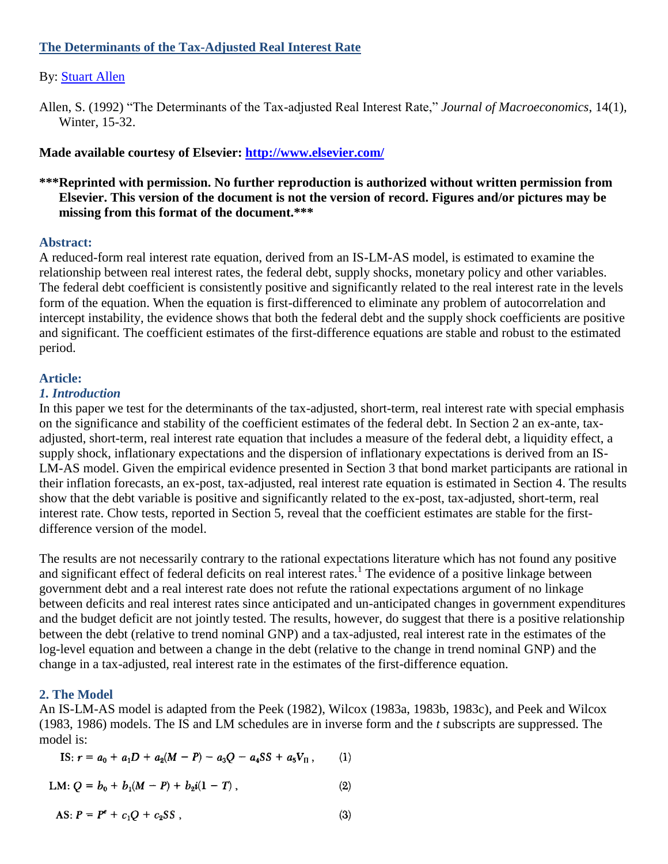# **The Determinants of the Tax-Adjusted Real Interest Rate**

## By: [Stuart Allen](http://libres.uncg.edu/ir/uncg/clist.aspx?id=880)

Allen, S. (1992) "The Determinants of the Tax-adjusted Real Interest Rate," *Journal of Macroeconomics*, 14(1), Winter, 15-32.

## **Made available courtesy of Elsevier:<http://www.elsevier.com/>**

# **\*\*\*Reprinted with permission. No further reproduction is authorized without written permission from Elsevier. This version of the document is not the version of record. Figures and/or pictures may be missing from this format of the document.\*\*\***

#### **Abstract:**

A reduced-form real interest rate equation, derived from an IS-LM-AS model, is estimated to examine the relationship between real interest rates, the federal debt, supply shocks, monetary policy and other variables. The federal debt coefficient is consistently positive and significantly related to the real interest rate in the levels form of the equation. When the equation is first-differenced to eliminate any problem of autocorrelation and intercept instability, the evidence shows that both the federal debt and the supply shock coefficients are positive and significant. The coefficient estimates of the first-difference equations are stable and robust to the estimated period.

#### **Article:**

#### *1. Introduction*

In this paper we test for the determinants of the tax-adjusted, short-term, real interest rate with special emphasis on the significance and stability of the coefficient estimates of the federal debt. In Section 2 an ex-ante, taxadjusted, short-term, real interest rate equation that includes a measure of the federal debt, a liquidity effect, a supply shock, inflationary expectations and the dispersion of inflationary expectations is derived from an IS-LM-AS model. Given the empirical evidence presented in Section 3 that bond market participants are rational in their inflation forecasts, an ex-post, tax-adjusted, real interest rate equation is estimated in Section 4. The results show that the debt variable is positive and significantly related to the ex-post, tax-adjusted, short-term, real interest rate. Chow tests, reported in Section 5, reveal that the coefficient estimates are stable for the firstdifference version of the model.

The results are not necessarily contrary to the rational expectations literature which has not found any positive and significant effect of federal deficits on real interest rates.<sup>1</sup> The evidence of a positive linkage between government debt and a real interest rate does not refute the rational expectations argument of no linkage between deficits and real interest rates since anticipated and un-anticipated changes in government expenditures and the budget deficit are not jointly tested. The results, however, do suggest that there is a positive relationship between the debt (relative to trend nominal GNP) and a tax-adjusted, real interest rate in the estimates of the log-level equation and between a change in the debt (relative to the change in trend nominal GNP) and the change in a tax-adjusted, real interest rate in the estimates of the first-difference equation.

#### **2. The Model**

An IS-LM-AS model is adapted from the Peek (1982), Wilcox (1983a, 1983b, 1983c), and Peek and Wilcox (1983, 1986) models. The IS and LM schedules are in inverse form and the *t* subscripts are suppressed. The model is:

IS: 
$$
r = a_0 + a_1D + a_2(M - P) - a_3Q - a_4SS + a_5V_{\Pi}
$$
, (1)

$$
LM: Q = b_0 + b_1(M - P) + b_2i(1 - T), \qquad (2)
$$

AS: 
$$
P = P^e + c_1 Q + c_2 SS
$$
, (3)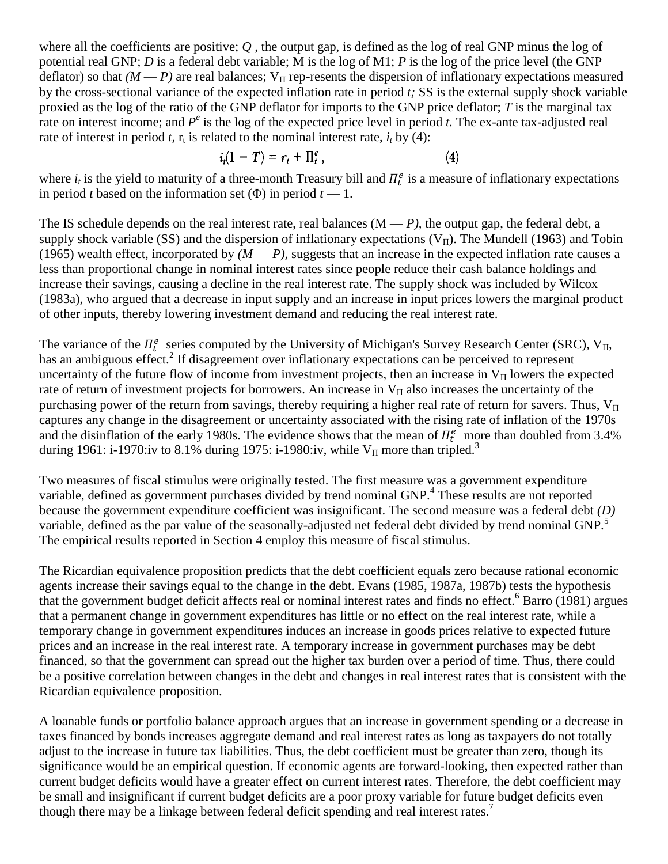where all the coefficients are positive; *Q ,* the output gap, is defined as the log of real GNP minus the log of potential real GNP; *D* is a federal debt variable; M is the log of M1; *P* is the log of the price level (the GNP deflator) so that  $(M - P)$  are real balances;  $V_{\Pi}$  rep-resents the dispersion of inflationary expectations measured by the cross-sectional variance of the expected inflation rate in period *t;* SS is the external supply shock variable proxied as the log of the ratio of the GNP deflator for imports to the GNP price deflator; *T* is the marginal tax rate on interest income; and  $P^e$  is the log of the expected price level in period *t*. The ex-ante tax-adjusted real rate of interest in period *t*,  $r_t$  is related to the nominal interest rate,  $i_t$  by (4):

$$
i_t(1-T) = r_t + \Pi_t^e, \qquad (4)
$$

where  $i_t$  is the yield to maturity of a three-month Treasury bill and  $\Pi_t^e$  is a measure of inflationary expectations in period *t* based on the information set  $(\Phi)$  in period  $t \to 1$ .

The IS schedule depends on the real interest rate, real balances  $(M - P)$ , the output gap, the federal debt, a supply shock variable (SS) and the dispersion of inflationary expectations ( $V_{II}$ ). The Mundell (1963) and Tobin (1965) wealth effect, incorporated by  $(M - P)$ , suggests that an increase in the expected inflation rate causes a less than proportional change in nominal interest rates since people reduce their cash balance holdings and increase their savings, causing a decline in the real interest rate. The supply shock was included by Wilcox (1983a), who argued that a decrease in input supply and an increase in input prices lowers the marginal product of other inputs, thereby lowering investment demand and reducing the real interest rate.

The variance of the  $\Pi_t^e$  series computed by the University of Michigan's Survey Research Center (SRC),  $V_{II}$ , has an ambiguous effect.<sup>2</sup> If disagreement over inflationary expectations can be perceived to represent uncertainty of the future flow of income from investment projects, then an increase in  $V_{II}$  lowers the expected rate of return of investment projects for borrowers. An increase in  $V_{II}$  also increases the uncertainty of the purchasing power of the return from savings, thereby requiring a higher real rate of return for savers. Thus,  $V_{II}$ captures any change in the disagreement or uncertainty associated with the rising rate of inflation of the 1970s and the disinflation of the early 1980s. The evidence shows that the mean of  $\Pi_t^e$  more than doubled from 3.4% during 1961: i-1970:iv to 8.1% during 1975: i-1980:iv, while  $V_{\Pi}$  more than tripled.<sup>3</sup>

Two measures of fiscal stimulus were originally tested. The first measure was a government expenditure variable, defined as government purchases divided by trend nominal GNP.<sup>4</sup> These results are not reported because the government expenditure coefficient was insignificant. The second measure was a federal debt *(D)*  variable, defined as the par value of the seasonally-adjusted net federal debt divided by trend nominal GNP.<sup>5</sup> The empirical results reported in Section 4 employ this measure of fiscal stimulus.

The Ricardian equivalence proposition predicts that the debt coefficient equals zero because rational economic agents increase their savings equal to the change in the debt. Evans (1985, 1987a, 1987b) tests the hypothesis that the government budget deficit affects real or nominal interest rates and finds no effect.<sup>6</sup> Barro (1981) argues that a permanent change in government expenditures has little or no effect on the real interest rate, while a temporary change in government expenditures induces an increase in goods prices relative to expected future prices and an increase in the real interest rate. A temporary increase in government purchases may be debt financed, so that the government can spread out the higher tax burden over a period of time. Thus, there could be a positive correlation between changes in the debt and changes in real interest rates that is consistent with the Ricardian equivalence proposition.

A loanable funds or portfolio balance approach argues that an increase in government spending or a decrease in taxes financed by bonds increases aggregate demand and real interest rates as long as taxpayers do not totally adjust to the increase in future tax liabilities. Thus, the debt coefficient must be greater than zero, though its significance would be an empirical question. If economic agents are forward-looking, then expected rather than current budget deficits would have a greater effect on current interest rates. Therefore, the debt coefficient may be small and insignificant if current budget deficits are a poor proxy variable for future budget deficits even though there may be a linkage between federal deficit spending and real interest rates.<sup>7</sup>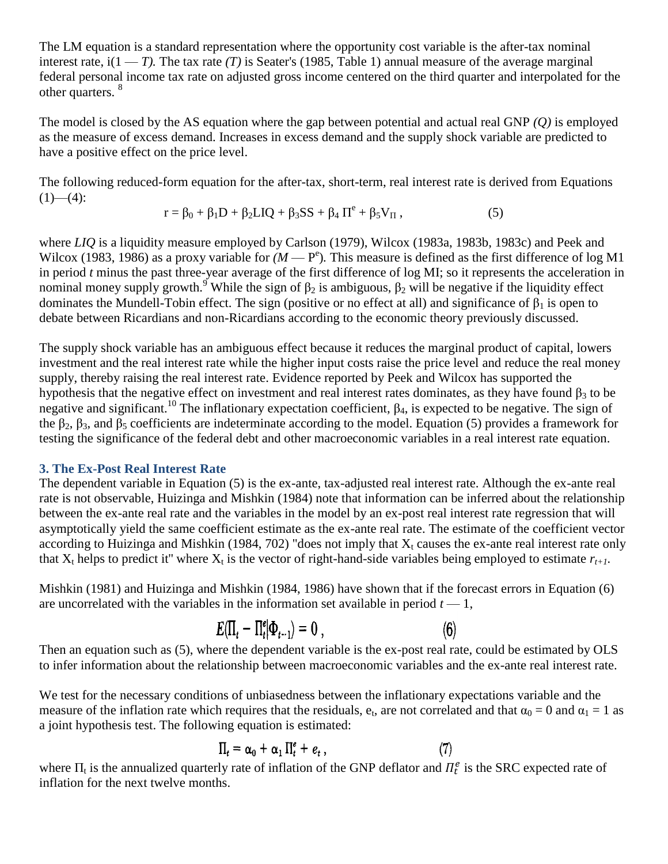The LM equation is a standard representation where the opportunity cost variable is the after-tax nominal interest rate,  $i(1 - T)$ . The tax rate *(T)* is Seater's (1985, Table 1) annual measure of the average marginal federal personal income tax rate on adjusted gross income centered on the third quarter and interpolated for the other quarters. <sup>8</sup>

The model is closed by the AS equation where the gap between potential and actual real GNP *(Q)* is employed as the measure of excess demand. Increases in excess demand and the supply shock variable are predicted to have a positive effect on the price level.

The following reduced-form equation for the after-tax, short-term, real interest rate is derived from Equations  $(1)$ — $(4)$ :

$$
r = \beta_0 + \beta_1 D + \beta_2 L I Q + \beta_3 SS + \beta_4 \Pi^e + \beta_5 V_{\Pi}, \qquad (5)
$$

where *LIQ* is a liquidity measure employed by Carlson (1979), Wilcox (1983a, 1983b, 1983c) and Peek and Wilcox (1983, 1986) as a proxy variable for  $(M - P^e)$ . This measure is defined as the first difference of log M1 in period *t* minus the past three-year average of the first difference of log MI; so it represents the acceleration in nominal money supply growth.<sup>9</sup> While the sign of  $β_2$  is ambiguous,  $β_2$  will be negative if the liquidity effect dominates the Mundell-Tobin effect. The sign (positive or no effect at all) and significance of  $\beta_1$  is open to debate between Ricardians and non-Ricardians according to the economic theory previously discussed.

The supply shock variable has an ambiguous effect because it reduces the marginal product of capital, lowers investment and the real interest rate while the higher input costs raise the price level and reduce the real money supply, thereby raising the real interest rate. Evidence reported by Peek and Wilcox has supported the hypothesis that the negative effect on investment and real interest rates dominates, as they have found  $\beta_3$  to be negative and significant.<sup>10</sup> The inflationary expectation coefficient,  $\beta_4$ , is expected to be negative. The sign of the β<sub>2</sub>, β<sub>3</sub>, and β<sub>5</sub> coefficients are indeterminate according to the model. Equation (5) provides a framework for testing the significance of the federal debt and other macroeconomic variables in a real interest rate equation.

## **3. The Ex-Post Real Interest Rate**

The dependent variable in Equation (5) is the ex-ante, tax-adjusted real interest rate. Although the ex-ante real rate is not observable, Huizinga and Mishkin (1984) note that information can be inferred about the relationship between the ex-ante real rate and the variables in the model by an ex-post real interest rate regression that will asymptotically yield the same coefficient estimate as the ex-ante real rate. The estimate of the coefficient vector according to Huizinga and Mishkin (1984, 702) "does not imply that  $X_t$  causes the ex-ante real interest rate only that  $X_t$  helps to predict it" where  $X_t$  is the vector of right-hand-side variables being employed to estimate  $r_{t+1}$ .

Mishkin (1981) and Huizinga and Mishkin (1984, 1986) have shown that if the forecast errors in Equation (6) are uncorrelated with the variables in the information set available in period  $t - 1$ ,

$$
E(\Pi_t - \Pi_t^e | \Phi_{t-1}) = 0 \tag{6}
$$

Then an equation such as (5), where the dependent variable is the ex-post real rate, could be estimated by OLS to infer information about the relationship between macroeconomic variables and the ex-ante real interest rate.

We test for the necessary conditions of unbiasedness between the inflationary expectations variable and the measure of the inflation rate which requires that the residuals,  $e_t$ , are not correlated and that  $\alpha_0 = 0$  and  $\alpha_1 = 1$  as a joint hypothesis test. The following equation is estimated:

$$
\Pi_t = \alpha_0 + \alpha_1 \Pi_t^e + e_t , \qquad (7)
$$

where  $\Pi_t$  is the annualized quarterly rate of inflation of the GNP deflator and  $\Pi_t^e$  is the SRC expected rate of inflation for the next twelve months.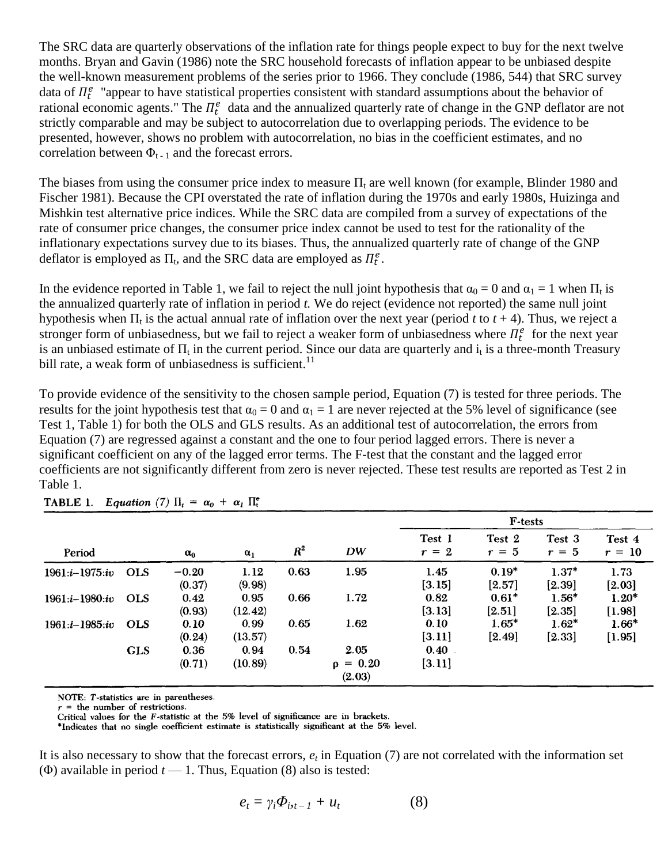The SRC data are quarterly observations of the inflation rate for things people expect to buy for the next twelve months. Bryan and Gavin (1986) note the SRC household forecasts of inflation appear to be unbiased despite the well-known measurement problems of the series prior to 1966. They conclude (1986, 544) that SRC survey data of  $\Pi_t^e$  "appear to have statistical properties consistent with standard assumptions about the behavior of rational economic agents." The  $\Pi_t^e$  data and the annualized quarterly rate of change in the GNP deflator are not strictly comparable and may be subject to autocorrelation due to overlapping periods. The evidence to be presented, however, shows no problem with autocorrelation, no bias in the coefficient estimates, and no correlation between  $\Phi_{t-1}$  and the forecast errors.

The biases from using the consumer price index to measure  $\Pi_t$  are well known (for example, Blinder 1980 and Fischer 1981). Because the CPI overstated the rate of inflation during the 1970s and early 1980s, Huizinga and Mishkin test alternative price indices. While the SRC data are compiled from a survey of expectations of the rate of consumer price changes, the consumer price index cannot be used to test for the rationality of the inflationary expectations survey due to its biases. Thus, the annualized quarterly rate of change of the GNP deflator is employed as  $\Pi_t$ , and the SRC data are employed as  $\Pi_t^e$ .

In the evidence reported in Table 1, we fail to reject the null joint hypothesis that  $\alpha_0 = 0$  and  $\alpha_1 = 1$  when  $\Pi_t$  is the annualized quarterly rate of inflation in period *t.* We do reject (evidence not reported) the same null joint hypothesis when  $\Pi_t$  is the actual annual rate of inflation over the next year (period *t* to  $t + 4$ ). Thus, we reject a stronger form of unbiasedness, but we fail to reject a weaker form of unbiasedness where  $\Pi_t^e$  for the next year is an unbiased estimate of  $\Pi_t$  in the current period. Since our data are quarterly and  $i_t$  is a three-month Treasury bill rate, a weak form of unbiasedness is sufficient.<sup>11</sup>

To provide evidence of the sensitivity to the chosen sample period, Equation (7) is tested for three periods. The results for the joint hypothesis test that  $\alpha_0 = 0$  and  $\alpha_1 = 1$  are never rejected at the 5% level of significance (see Test 1, Table 1) for both the OLS and GLS results. As an additional test of autocorrelation, the errors from Equation (7) are regressed against a constant and the one to four period lagged errors. There is never a significant coefficient on any of the lagged error terms. The F-test that the constant and the lagged error coefficients are not significantly different from zero is never rejected. These test results are reported as Test 2 in Table 1.

|                    |            | $\alpha_0$        | $\alpha_1$      | $R^2$ | DW                              | <b>F-tests</b>    |                     |                     |                    |
|--------------------|------------|-------------------|-----------------|-------|---------------------------------|-------------------|---------------------|---------------------|--------------------|
| Period             |            |                   |                 |       |                                 | Test 1<br>$r = 2$ | Test 2<br>$r = 5$   | Test 3<br>$r = 5$   | Test 4<br>$r = 10$ |
| $1961:i-1975:iv$   | <b>OLS</b> | $-0.20$<br>(0.37) | 1.12<br>(9.98)  | 0.63  | 1.95                            | 1.45<br>[3.15]    | $0.19*$<br>$[2.57]$ | $1.37*$<br>$[2.39]$ | 1.73<br>$[2.03]$   |
| 1961:i-1980:iv     | <b>OLS</b> | 0.42<br>(0.93)    | 0.95<br>(12.42) | 0.66  | 1.72                            | 0.82<br>[3.13]    | $0.61*$<br>[2.51]   | $1.56*$<br>[2.35]   | $1.20*$<br>[1.98]  |
| $1961.i - 1985:iv$ | <b>OLS</b> | 0.10<br>(0.24)    | 0.99<br>(13.57) | 0.65  | 1.62                            | 0.10<br>[3.11]    | $1.65*$<br>$[2.49]$ | $1.62*$<br>$[2.33]$ | $1.66*$<br>[1.95]  |
|                    | <b>GLS</b> | 0.36<br>(0.71)    | 0.94<br>(10.89) | 0.54  | 2.05<br>$\rho = 0.20$<br>(2.03) | 0.40<br>[3.11]    |                     |                     |                    |

TABLE 1. Equation (7)  $\Pi_t = \alpha_0 + \alpha_1 \Pi_t^e$ 

NOTE: T-statistics are in parentheses.

 $r =$  the number of restrictions.

Critical values for the F-statistic at the 5% level of significance are in brackets.

\*Indicates that no single coefficient estimate is statistically significant at the 5% level.

It is also necessary to show that the forecast errors, *e<sup>t</sup>* in Equation (7) are not correlated with the information set ( $\Phi$ ) available in period  $t \rightarrow 1$ . Thus, Equation (8) also is tested:

$$
e_t = \gamma_i \Phi_{i_t-1} + u_t \tag{8}
$$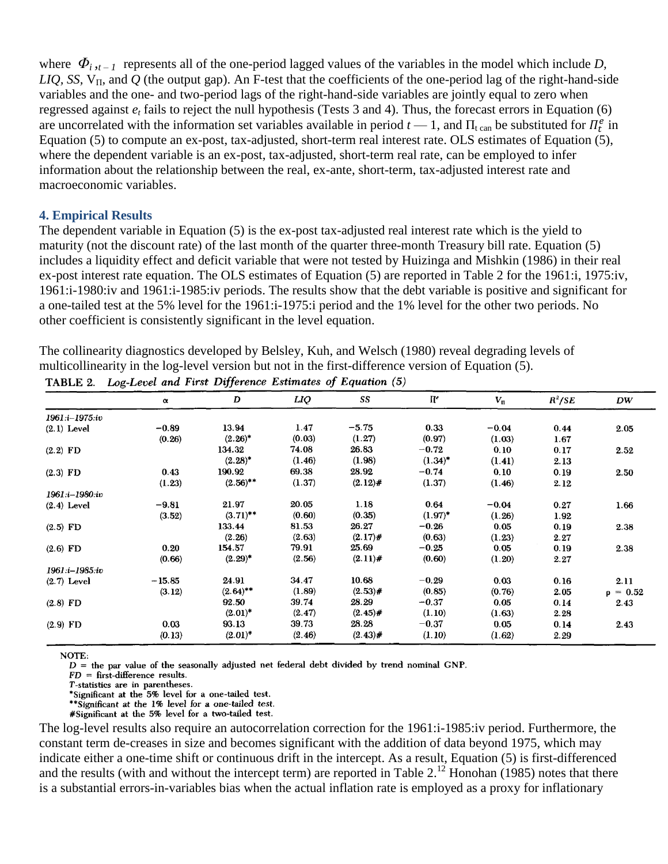where  $\Phi_{i,t-1}$  represents all of the one-period lagged values of the variables in the model which include *D*, *LIQ, SS,*  $V_{\Pi}$ *, and Q (the output gap).* An F-test that the coefficients of the one-period lag of the right-hand-side variables and the one- and two-period lags of the right-hand-side variables are jointly equal to zero when regressed against  $e_t$  fails to reject the null hypothesis (Tests 3 and 4). Thus, the forecast errors in Equation (6) are uncorrelated with the information set variables available in period  $t-1$ , and  $\Pi_t$ <sub>can</sub> be substituted for  $\Pi_t^e$  in Equation (5) to compute an ex-post, tax-adjusted, short-term real interest rate. OLS estimates of Equation (5), where the dependent variable is an ex-post, tax-adjusted, short-term real rate, can be employed to infer information about the relationship between the real, ex-ante, short-term, tax-adjusted interest rate and macroeconomic variables.

#### **4. Empirical Results**

The dependent variable in Equation (5) is the ex-post tax-adjusted real interest rate which is the yield to maturity (not the discount rate) of the last month of the quarter three-month Treasury bill rate. Equation (5) includes a liquidity effect and deficit variable that were not tested by Huizinga and Mishkin (1986) in their real ex-post interest rate equation. The OLS estimates of Equation (5) are reported in Table 2 for the 1961:i, 1975:iv, 1961:i-1980:iv and 1961:i-1985:iv periods. The results show that the debt variable is positive and significant for a one-tailed test at the 5% level for the 1961:i-1975:i period and the 1% level for the other two periods. No other coefficient is consistently significant in the level equation.

The collinearity diagnostics developed by Belsley, Kuh, and Welsch (1980) reveal degrading levels of multicollinearity in the log-level version but not in the first-difference version of Equation (5).

|                | $\pmb{\alpha}$ | D           | LIQ    | SS         | $\Pi^e$    | $V_{\scriptscriptstyle \rm I\hspace{-1pt}I}$ | $R^2/SE$ | DW            |
|----------------|----------------|-------------|--------|------------|------------|----------------------------------------------|----------|---------------|
| 1961:i-1975:iv |                |             |        |            |            |                                              |          |               |
| $(2.1)$ Level  | $-0.89$        | 13.94       | 1.47   | $-5.75$    | 0.33       | $-0.04$                                      | 0.44     | 2.05          |
|                | (0.26)         | $(2.26)^*$  | (0.03) | (1.27)     | (0.97)     | (1.03)                                       | 1.67     |               |
| $(2.2)$ FD     |                | 134.32      | 74.08  | 26.83      | $-0.72$    | 0.10                                         | 0.17     | 2.52          |
|                |                | $(2.28)^*$  | (1.46) | (1.98)     | $(1.34)^*$ | (1.41)                                       | 2.13     |               |
| $(2.3)$ FD     | 0.43           | 190.92      | 69.38  | 28.92      | $-0.74$    | 0.10                                         | 0.19     | 2.50          |
|                | (1.23)         | $(2.56)$ ** | (1.37) | $(2.12)$ # | (1.37)     | (1.46)                                       | 2.12     |               |
| 1961:i-1980:iv |                |             |        |            |            |                                              |          |               |
| $(2.4)$ Level  | $-9.81$        | 21.97       | 20.05  | 1.18       | 0.64       | $-0.04$                                      | 0.27     | 1.66          |
|                | (3.52)         | $(3.71)$ ** | (0.60) | (0.35)     | $(1.97)^*$ | (1.26)                                       | 1.92     |               |
| $(2.5)$ FD     |                | 133.44      | 81.53  | 26.27      | $-0.26$    | 0.05                                         | 0.19     | 2.38          |
|                |                | (2.26)      | (2.63) | $(2.17)$ # | (0.63)     | (1.23)                                       | 2.27     |               |
| $(2.6)$ FD     | 0.20           | 154.57      | 79.91  | 25.69      | $-0.25$    | 0.05                                         | 0.19     | 2.38          |
|                | (0.66)         | $(2.29)^*$  | (2.56) | $(2.11)$ # | (0.60)     | (1.20)                                       | 2.27     |               |
| 1961:i-1985:iv |                |             |        |            |            |                                              |          |               |
| $(2.7)$ Level  | $-15.85$       | 24.91       | 34.47  | 10.68      | $-0.29$    | 0.03                                         | 0.16     | 2.11          |
|                | (3.12)         | $(2.64)$ ** | (1.89) | $(2.53)$ # | (0.85)     | (0.76)                                       | 2.05     | $\rho = 0.52$ |
| $(2.8)$ FD     |                | 92.50       | 39.74  | 28.29      | $-0.37$    | 0.05                                         | 0.14     | 2.43          |
|                |                | $(2.01)^*$  | (2.47) | $(2.45)$ # | (1.10)     | (1.63)                                       | 2.28     |               |
| $(2.9)$ FD     | 0.03           | 93.13       | 39.73  | 28.28      | $-0.37$    | 0.05                                         | 0.14     | 2.43          |
|                | (0.13)         | $(2.01)^*$  | (2.46) | $(2.43)$ # | (1.10)     | (1.62)                                       | 2.29     |               |

TABLE 2. Log-Level and First Difference Estimates of Equation (5)

NOTE:

 $D =$  the par value of the seasonally adjusted net federal debt divided by trend nominal GNP.

 $FD =$  first-difference results.

T-statistics are in parentheses.

\*Significant at the 5% level for a one-tailed test.

\*\*Significant at the 1% level for a one-tailed test.

#Significant at the 5% level for a two-tailed test.

The log-level results also require an autocorrelation correction for the 1961:i-1985:iv period. Furthermore, the constant term de-creases in size and becomes significant with the addition of data beyond 1975, which may indicate either a one-time shift or continuous drift in the intercept. As a result, Equation (5) is first-differenced and the results (with and without the intercept term) are reported in Table  $2<sup>12</sup>$  Honohan (1985) notes that there is a substantial errors-in-variables bias when the actual inflation rate is employed as a proxy for inflationary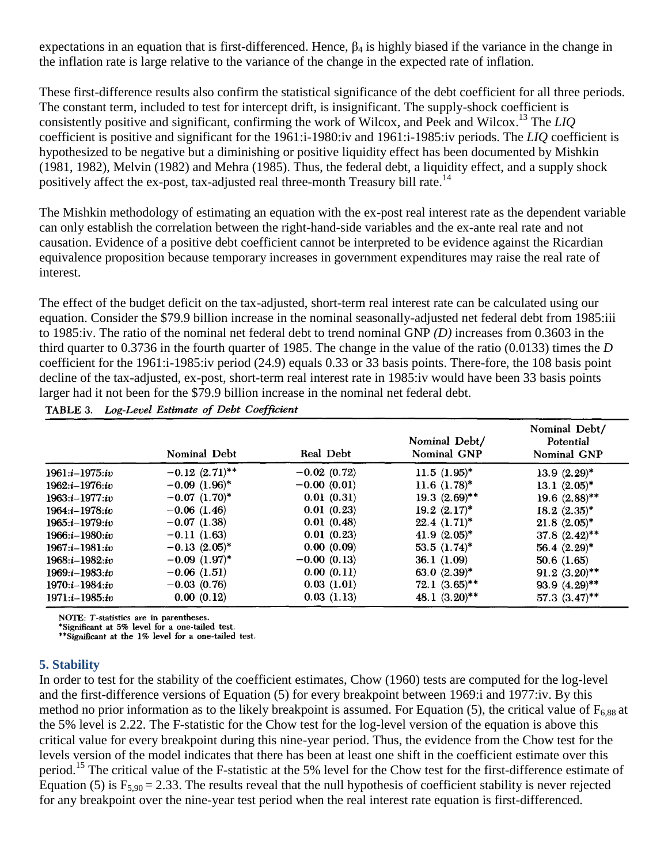expectations in an equation that is first-differenced. Hence,  $\beta_4$  is highly biased if the variance in the change in the inflation rate is large relative to the variance of the change in the expected rate of inflation.

These first-difference results also confirm the statistical significance of the debt coefficient for all three periods. The constant term, included to test for intercept drift, is insignificant. The supply-shock coefficient is consistently positive and significant, confirming the work of Wilcox, and Peek and Wilcox.<sup>13</sup> The *LIQ*  coefficient is positive and significant for the 1961:i-1980:iv and 1961:i-1985:iv periods. The *LIQ* coefficient is hypothesized to be negative but a diminishing or positive liquidity effect has been documented by Mishkin (1981, 1982), Melvin (1982) and Mehra (1985). Thus, the federal debt, a liquidity effect, and a supply shock positively affect the ex-post, tax-adjusted real three-month Treasury bill rate.<sup>14</sup>

The Mishkin methodology of estimating an equation with the ex-post real interest rate as the dependent variable can only establish the correlation between the right-hand-side variables and the ex-ante real rate and not causation. Evidence of a positive debt coefficient cannot be interpreted to be evidence against the Ricardian equivalence proposition because temporary increases in government expenditures may raise the real rate of interest.

The effect of the budget deficit on the tax-adjusted, short-term real interest rate can be calculated using our equation. Consider the \$79.9 billion increase in the nominal seasonally-adjusted net federal debt from 1985:iii to 1985:iv. The ratio of the nominal net federal debt to trend nominal GNP *(D)* increases from 0.3603 in the third quarter to 0.3736 in the fourth quarter of 1985. The change in the value of the ratio (0.0133) times the *D* coefficient for the 1961:i-1985:iv period (24.9) equals 0.33 or 33 basis points. There-fore, the 108 basis point decline of the tax-adjusted, ex-post, short-term real interest rate in 1985:iv would have been 33 basis points larger had it not been for the \$79.9 billion increase in the nominal net federal debt.

TABLE 3. Log-Level Estimate of Debt Coefficient

|                    | Nominal Debt                   | <b>Real Debt</b> | Nominal Debt/<br>Nominal GNP | Nominal Debt/<br>Potential<br>Nominal GNP |
|--------------------|--------------------------------|------------------|------------------------------|-------------------------------------------|
| $1961:i-1975:iv$   | $-0.12$ $(2.71)$ <sup>**</sup> | $-0.02(0.72)$    | $11.5$ $(1.95)^*$            | 13.9 $(2.29)^*$                           |
| $1962:i - 1976:iv$ | $-0.09$ $(1.96)^*$             | $-0.00(0.01)$    | $11.6$ $(1.78)^*$            | 13.1 $(2.05)^*$                           |
| $1963:i - 1977:iv$ | $-0.07$ $(1.70)^*$             | 0.01(0.31)       | $19.3(2.69)$ **              | $19.6$ $(2.88)$ **                        |
| $1964:i-1978:iv$   | $-0.06$ (1.46)                 | 0.01(0.23)       | $19.2$ $(2.17)^*$            | $18.2 (2.35)^*$                           |
| $1965:i-1979:i\nu$ | $-0.07(1.38)$                  | 0.01(0.48)       | $22.4(1.71)^*$               | $21.8$ $(2.05)^*$                         |
| $1966:i-1980:iv$   | $-0.11(1.63)$                  | 0.01(0.23)       | $41.9(2.05)^*$               | $37.8~(2.42)$ **                          |
| $1967:i-1981:iv$   | $-0.13$ $(2.05)^*$             | 0.00(0.09)       | $53.5(1.74)^*$               | 56.4 $(2.29)^*$                           |
| $1968:i-1982:iv$   | $-0.09$ $(1.97)^*$             | $-0.00(0.13)$    | 36.1(1.09)                   | 50.6(1.65)                                |
| $1969:i-1983:iv$   | $-0.06(1.51)$                  | 0.00(0.11)       | 63.0 $(2.39)^*$              | $91.2(3.20)$ **                           |
| $1970:i-1984:iv$   | $-0.03(0.76)$                  | 0.03(1.01)       | $72.1 \ (3.65)^{**}$         | $93.9(4.29)$ **                           |
| $1971:i - 1985:iv$ | 0.00(0.12)                     | 0.03(1.13)       | 48.1 $(3.20)$ **             | 57.3 $(3.47)$ **                          |

NOTE: T-statistics are in parentheses.

\*Significant at 5% level for a one-tailed test.<br>\*Significant at 5% level for a one-tailed test.<br>\*\*Significant at the 1% level for a one-tailed test.

## **5. Stability**

In order to test for the stability of the coefficient estimates, Chow (1960) tests are computed for the log-level and the first-difference versions of Equation (5) for every breakpoint between 1969:i and 1977:iv. By this method no prior information as to the likely breakpoint is assumed. For Equation (5), the critical value of  $F_{6,88}$  at the 5% level is 2.22. The F-statistic for the Chow test for the log-level version of the equation is above this critical value for every breakpoint during this nine-year period. Thus, the evidence from the Chow test for the levels version of the model indicates that there has been at least one shift in the coefficient estimate over this period.<sup>15</sup> The critical value of the F-statistic at the 5% level for the Chow test for the first-difference estimate of Equation (5) is  $F_{5,90} = 2.33$ . The results reveal that the null hypothesis of coefficient stability is never rejected for any breakpoint over the nine-year test period when the real interest rate equation is first-differenced.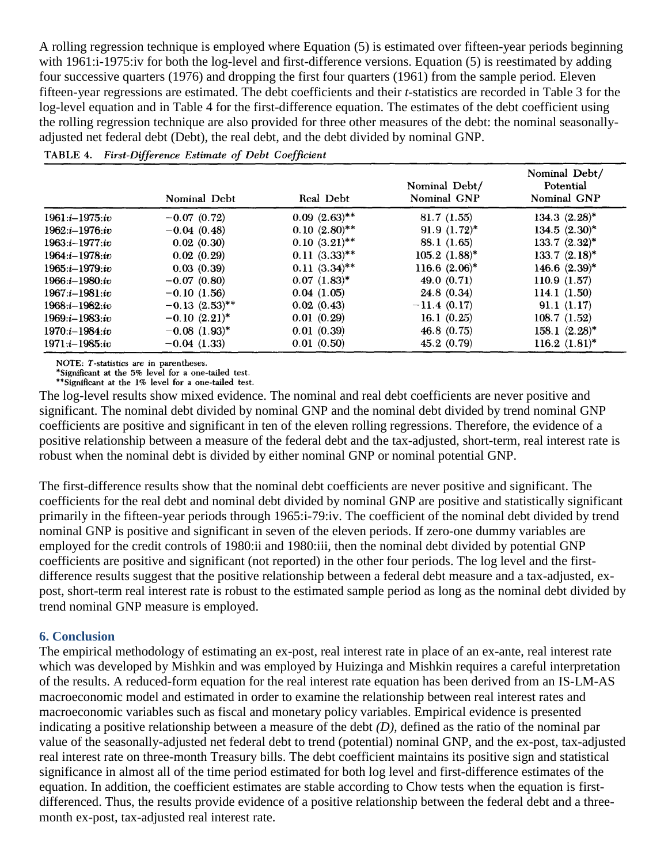A rolling regression technique is employed where Equation (5) is estimated over fifteen-year periods beginning with 1961:i-1975:iv for both the log-level and first-difference versions. Equation (5) is reestimated by adding four successive quarters (1976) and dropping the first four quarters (1961) from the sample period. Eleven fifteen-year regressions are estimated. The debt coefficients and their *t-*statistics are recorded in Table 3 for the log-level equation and in Table 4 for the first-difference equation. The estimates of the debt coefficient using the rolling regression technique are also provided for three other measures of the debt: the nominal seasonallyadjusted net federal debt (Debt), the real debt, and the debt divided by nominal GNP.

TABLE 4. First-Difference Estimate of Debt Coefficient

|                    | Nominal Debt                   | Real Debt          | Nominal Debt/<br>Nominal GNP | Nominal Debt/<br>Potential<br>Nominal GNP |
|--------------------|--------------------------------|--------------------|------------------------------|-------------------------------------------|
| $1961:i-1975iv$    | $-0.07(0.72)$                  | $0.09~(2.63)$ **   | 81.7(1.55)                   | 134.3 $(2.28)^*$                          |
| $1962:i-1976(iv)$  | $-0.04(0.48)$                  | $0.10~(2.80)$ **   | 91.9 $(1.72)^*$              | $134.5 (2.30)^*$                          |
| $1963:i - 1977:iv$ | 0.02(0.30)                     | $0.10~(3.21)$ **   | 88.1 (1.65)                  | $133.7 (2.32)^*$                          |
| $1964:i-1978:iv$   | 0.02(0.29)                     | $0.11 \ (3.33)$ ** | $105.2$ $(1.88)^*$           | $133.7 (2.18)^*$                          |
| $1965:i-1979:iv$   | 0.03(0.39)                     | $0.11(3.34)$ **    | 116.6 $(2.06)^*$             | $146.6$ $(2.39)^*$                        |
| $1966:i-1980(iv)$  | $-0.07(0.80)$                  | $0.07$ $(1.83)^*$  | 49.0 $(0.71)$                | 110.9(1.57)                               |
| $1967:i-1981(iv)$  | $-0.10(1.56)$                  | 0.04(1.05)         | 24.8(0.34)                   | 114.1 $(1.50)$                            |
| $1968:1 - 1982:iv$ | $-0.13$ $(2.53)$ <sup>**</sup> | 0.02(0.43)         | $-11.4(0.17)$                | 91.1(1.17)                                |
| $1969:i-1983:iv$   | $-0.10(2.21)^*$                | 0.01(0.29)         | 16.1(0.25)                   | 108.7(1.52)                               |
| $1970:i-1984:iv$   | $-0.08$ $(1.93)^*$             | 0.01(0.39)         | 46.8 $(0.75)$                | $158.1 (2.28)^*$                          |
| $1971:i-1985:iv$   | $-0.04(1.33)$                  | 0.01(0.50)         | 45.2 (0.79)                  | $116.2 (1.81)^*$                          |

NOTE: T-statistics are in parentheses.<br>\*Significant at the 5% level for a one-tailed test.<br>\*\*Significant at the 5% level for a one-tailed test.

\*\* Significant at the 1% level for a one-tailed test.

The log-level results show mixed evidence. The nominal and real debt coefficients are never positive and significant. The nominal debt divided by nominal GNP and the nominal debt divided by trend nominal GNP coefficients are positive and significant in ten of the eleven rolling regressions. Therefore, the evidence of a positive relationship between a measure of the federal debt and the tax-adjusted, short-term, real interest rate is robust when the nominal debt is divided by either nominal GNP or nominal potential GNP.

The first-difference results show that the nominal debt coefficients are never positive and significant. The coefficients for the real debt and nominal debt divided by nominal GNP are positive and statistically significant primarily in the fifteen-year periods through 1965:i-79:iv. The coefficient of the nominal debt divided by trend nominal GNP is positive and significant in seven of the eleven periods. If zero-one dummy variables are employed for the credit controls of 1980:ii and 1980:iii, then the nominal debt divided by potential GNP coefficients are positive and significant (not reported) in the other four periods. The log level and the firstdifference results suggest that the positive relationship between a federal debt measure and a tax-adjusted, expost, short-term real interest rate is robust to the estimated sample period as long as the nominal debt divided by trend nominal GNP measure is employed.

## **6. Conclusion**

The empirical methodology of estimating an ex-post, real interest rate in place of an ex-ante, real interest rate which was developed by Mishkin and was employed by Huizinga and Mishkin requires a careful interpretation of the results. A reduced-form equation for the real interest rate equation has been derived from an IS-LM-AS macroeconomic model and estimated in order to examine the relationship between real interest rates and macroeconomic variables such as fiscal and monetary policy variables. Empirical evidence is presented indicating a positive relationship between a measure of the debt *(D),* defined as the ratio of the nominal par value of the seasonally-adjusted net federal debt to trend (potential) nominal GNP, and the ex-post, tax-adjusted real interest rate on three-month Treasury bills. The debt coefficient maintains its positive sign and statistical significance in almost all of the time period estimated for both log level and first-difference estimates of the equation. In addition, the coefficient estimates are stable according to Chow tests when the equation is firstdifferenced. Thus, the results provide evidence of a positive relationship between the federal debt and a threemonth ex-post, tax-adjusted real interest rate.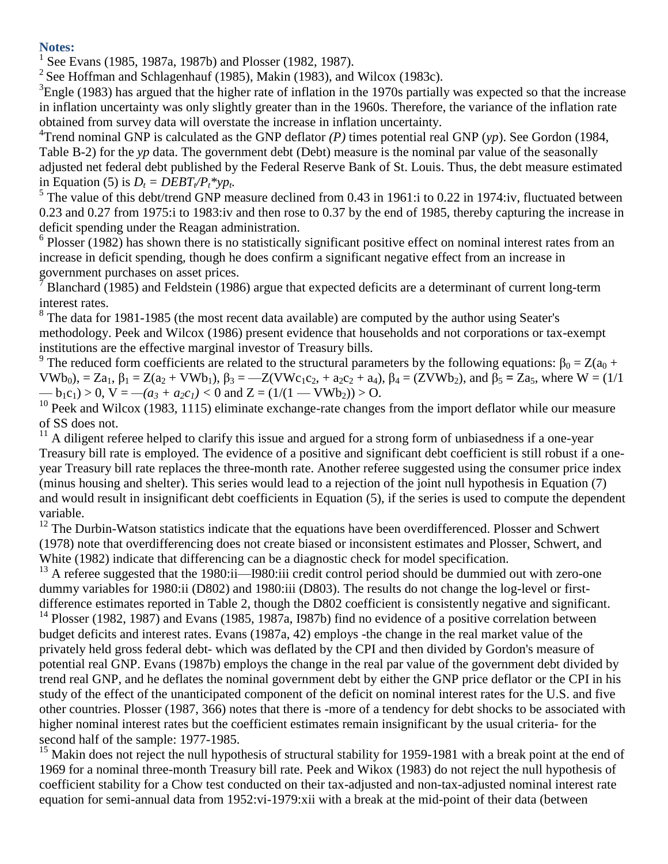**Notes:**

<sup>1</sup> See Evans (1985, 1987a, 1987b) and Plosser (1982, 1987).

<sup>2</sup> See Hoffman and Schlagenhauf (1985), Makin (1983), and Wilcox (1983c).

 ${}^{3}$ Engle (1983) has argued that the higher rate of inflation in the 1970s partially was expected so that the increase in inflation uncertainty was only slightly greater than in the 1960s. Therefore, the variance of the inflation rate obtained from survey data will overstate the increase in inflation uncertainty.

<sup>4</sup>Trend nominal GNP is calculated as the GNP deflator  $(P)$  times potential real GNP  $(yp)$ . See Gordon (1984, Table B-2) for the *yp* data. The government debt (Debt) measure is the nominal par value of the seasonally adjusted net federal debt published by the Federal Reserve Bank of St. Louis. Thus, the debt measure estimated in Equation (5) is  $D_t = DEBT_t/P_t^*yp_t$ .

<sup>5</sup> The value of this debt/trend GNP measure declined from 0.43 in 1961:i to 0.22 in 1974:iv, fluctuated between 0.23 and 0.27 from 1975:i to 1983:iv and then rose to 0.37 by the end of 1985, thereby capturing the increase in deficit spending under the Reagan administration.

<sup>6</sup> Plosser (1982) has shown there is no statistically significant positive effect on nominal interest rates from an increase in deficit spending, though he does confirm a significant negative effect from an increase in government purchases on asset prices.

<sup>7</sup> Blanchard (1985) and Feldstein (1986) argue that expected deficits are a determinant of current long-term interest rates.

 $8$  The data for 1981-1985 (the most recent data available) are computed by the author using Seater's methodology. Peek and Wilcox (1986) present evidence that households and not corporations or tax-exempt institutions are the effective marginal investor of Treasury bills.

<sup>9</sup> The reduced form coefficients are related to the structural parameters by the following equations:  $\beta_0 = Z(a_0 +$ VWb<sub>0</sub>), = Za<sub>1</sub>, β<sub>1</sub> = Z(a<sub>2</sub> + VWb<sub>1</sub>), β<sub>3</sub> = --Z(VWc<sub>1</sub>c<sub>2</sub>, + a<sub>2</sub>c<sub>2</sub> + a<sub>4</sub>), β<sub>4</sub> = (ZVWb<sub>2</sub>), and β<sub>5</sub> = Za<sub>5</sub>, where W = (1/1)  $-$  b<sub>1</sub>c<sub>1</sub>) > 0, V =  $-(a_3 + a_2c_1)$  < 0 and Z = (1/(1 — VWb<sub>2</sub>)) > O.

 $10$  Peek and Wilcox (1983, 1115) eliminate exchange-rate changes from the import deflator while our measure of SS does not.

 $11$  A diligent referee helped to clarify this issue and argued for a strong form of unbiasedness if a one-year Treasury bill rate is employed. The evidence of a positive and significant debt coefficient is still robust if a oneyear Treasury bill rate replaces the three-month rate. Another referee suggested using the consumer price index (minus housing and shelter). This series would lead to a rejection of the joint null hypothesis in Equation (7) and would result in insignificant debt coefficients in Equation (5), if the series is used to compute the dependent variable.

<sup>12</sup> The Durbin-Watson statistics indicate that the equations have been overdifferenced. Plosser and Schwert (1978) note that overdifferencing does not create biased or inconsistent estimates and Plosser, Schwert, and White (1982) indicate that differencing can be a diagnostic check for model specification.

<sup>13</sup> A referee suggested that the 1980:ii—I980:iii credit control period should be dummied out with zero-one dummy variables for 1980:ii (D802) and 1980:iii (D803). The results do not change the log-level or firstdifference estimates reported in Table 2, though the D802 coefficient is consistently negative and significant. <sup>14</sup> Plosser (1982, 1987) and Evans (1985, 1987a, 1987b) find no evidence of a positive correlation between budget deficits and interest rates. Evans (1987a, 42) employs -the change in the real market value of the privately held gross federal debt- which was deflated by the CPI and then divided by Gordon's measure of potential real GNP. Evans (1987b) employs the change in the real par value of the government debt divided by trend real GNP, and he deflates the nominal government debt by either the GNP price deflator or the CPI in his study of the effect of the unanticipated component of the deficit on nominal interest rates for the U.S. and five other countries. Plosser (1987, 366) notes that there is -more of a tendency for debt shocks to be associated with higher nominal interest rates but the coefficient estimates remain insignificant by the usual criteria- for the second half of the sample: 1977-1985.

<sup>15</sup> Makin does not reject the null hypothesis of structural stability for 1959-1981 with a break point at the end of 1969 for a nominal three-month Treasury bill rate. Peek and Wikox (1983) do not reject the null hypothesis of coefficient stability for a Chow test conducted on their tax-adjusted and non-tax-adjusted nominal interest rate equation for semi-annual data from 1952:vi-1979:xii with a break at the mid-point of their data (between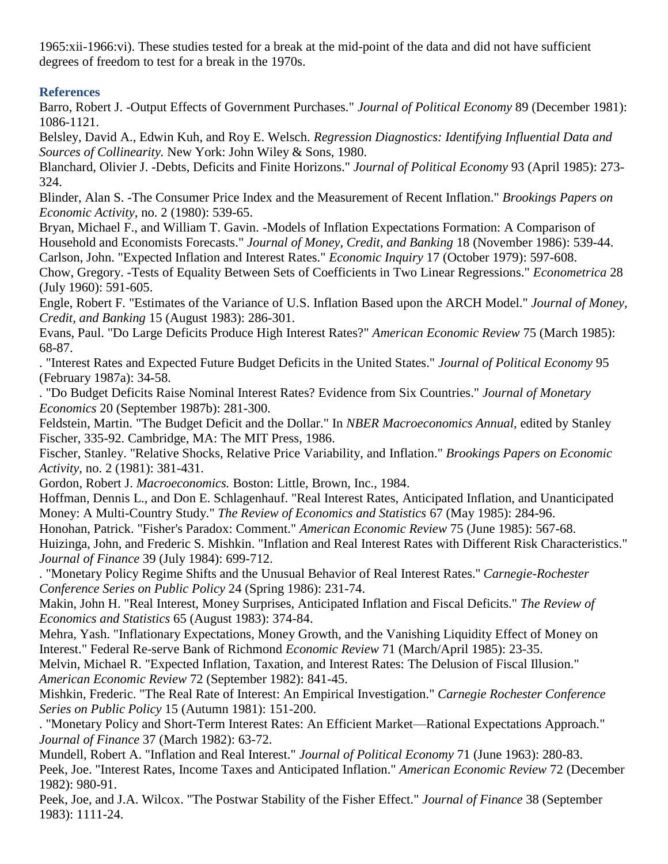1965:xii-1966:vi). These studies tested for a break at the mid-point of the data and did not have sufficient degrees of freedom to test for a break in the 1970s.

# **References**

Barro, Robert J. -Output Effects of Government Purchases." *Journal of Political Economy* 89 (December 1981): 1086-1121.

Belsley, David A., Edwin Kuh, and Roy E. Welsch. *Regression Diagnostics: Identifying Influential Data and Sources of Collinearity.* New York: John Wiley & Sons, 1980.

Blanchard, Olivier J. -Debts, Deficits and Finite Horizons." *Journal of Political Economy* 93 (April 1985): 273- 324.

Blinder, Alan S. -The Consumer Price Index and the Measurement of Recent Inflation." *Brookings Papers on Economic Activity,* no. 2 (1980): 539-65.

Bryan, Michael F., and William T. Gavin. -Models of Inflation Expectations Formation: A Comparison of Household and Economists Forecasts." *Journal of Money, Credit, and Banking* 18 (November 1986): 539-44. Carlson, John. "Expected Inflation and Interest Rates." *Economic Inquiry* 17 (October 1979): 597-608.

Chow, Gregory. -Tests of Equality Between Sets of Coefficients in Two Linear Regressions." *Econometrica* 28 (July 1960): 591-605.

Engle, Robert F. "Estimates of the Variance of U.S. Inflation Based upon the ARCH Model." *Journal of Money, Credit, and Banking* 15 (August 1983): 286-301.

Evans, Paul. "Do Large Deficits Produce High Interest Rates?" *American Economic Review* 75 (March 1985): 68-87.

. "Interest Rates and Expected Future Budget Deficits in the United States." *Journal of Political Economy* 95 (February 1987a): 34-58.

. "Do Budget Deficits Raise Nominal Interest Rates? Evidence from Six Countries." *Journal of Monetary Economics* 20 (September 1987b): 281-300.

Feldstein, Martin. "The Budget Deficit and the Dollar." In *NBER Macroeconomics Annual,* edited by Stanley Fischer, 335-92. Cambridge, MA: The MIT Press, 1986.

Fischer, Stanley. "Relative Shocks, Relative Price Variability, and Inflation." *Brookings Papers on Economic Activity,* no. 2 (1981): 381-431.

Gordon, Robert J. *Macroeconomics.* Boston: Little, Brown, Inc., 1984.

Hoffman, Dennis L., and Don E. Schlagenhauf. "Real Interest Rates, Anticipated Inflation, and Unanticipated Money: A Multi-Country Study." *The Review of Economics and Statistics* 67 (May 1985): 284-96.

Honohan, Patrick. "Fisher's Paradox: Comment." *American Economic Review* 75 (June 1985): 567-68.

Huizinga, John, and Frederic S. Mishkin. "Inflation and Real Interest Rates with Different Risk Characteristics." *Journal of Finance* 39 (July 1984): 699-712.

. "Monetary Policy Regime Shifts and the Unusual Behavior of Real Interest Rates.'' *Carnegie-Rochester Conference Series on Public Policy* 24 (Spring 1986): 231-74.

Makin, John H. "Real Interest, Money Surprises, Anticipated Inflation and Fiscal Deficits." *The Review of Economics and Statistics* 65 (August 1983): 374-84.

Mehra, Yash. "Inflationary Expectations, Money Growth, and the Vanishing Liquidity Effect of Money on Interest." Federal Re-serve Bank of Richmond *Economic Review* 71 (March/April 1985): 23-35.

Melvin, Michael R. "Expected Inflation, Taxation, and Interest Rates: The Delusion of Fiscal Illusion." *American Economic Review* 72 (September 1982): 841-45.

Mishkin, Frederic. "The Real Rate of Interest: An Empirical Investigation." *Carnegie Rochester Conference Series on Public Policy* 15 (Autumn 1981): 151-200.

. "Monetary Policy and Short-Term Interest Rates: An Efficient Market—Rational Expectations Approach." *Journal of Finance* 37 (March 1982): 63-72.

Mundell, Robert A. "Inflation and Real Interest." *Journal of Political Economy* 71 (June 1963): 280-83. Peek, Joe. "Interest Rates, Income Taxes and Anticipated Inflation." *American Economic Review* 72 (December 1982): 980-91.

Peek, Joe, and J.A. Wilcox. "The Postwar Stability of the Fisher Effect." *Journal of Finance* 38 (September 1983): 1111-24.